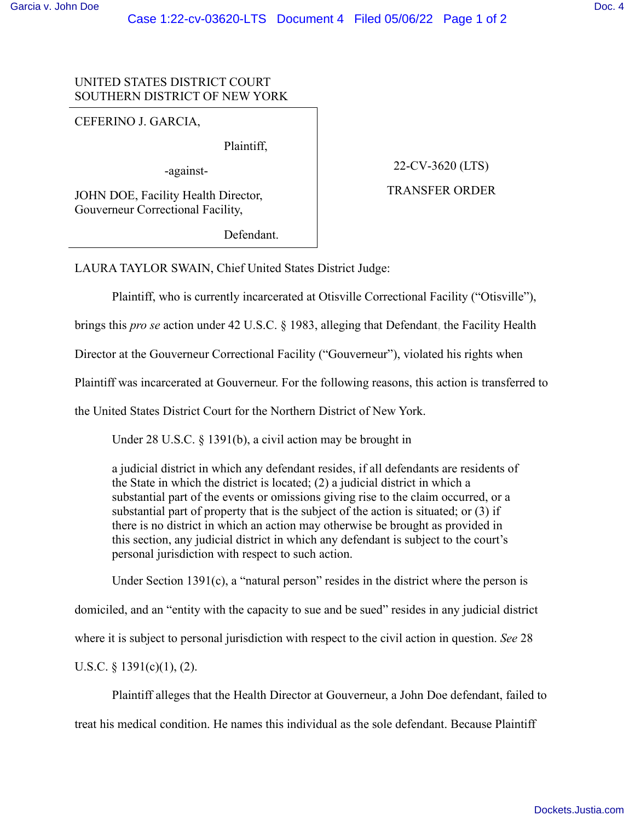# UNITED STATES DISTRICT COURT SOUTHERN DISTRICT OF NEW YORK

CEFERINO J. GARCIA,

Plaintiff,

-against-

JOHN DOE, Facility Health Director, Gouverneur Correctional Facility,

Defendant.

22-CV-3620 (LTS)

## TRANSFER ORDER

LAURA TAYLOR SWAIN, Chief United States District Judge:

Plaintiff, who is currently incarcerated at Otisville Correctional Facility ("Otisville"),

brings this *pro se* action under 42 U.S.C. § 1983, alleging that Defendant, the Facility Health

Director at the Gouverneur Correctional Facility ("Gouverneur"), violated his rights when

Plaintiff was incarcerated at Gouverneur. For the following reasons, this action is transferred to

the United States District Court for the Northern District of New York.

Under 28 U.S.C. § 1391(b), a civil action may be brought in

a judicial district in which any defendant resides, if all defendants are residents of the State in which the district is located; (2) a judicial district in which a substantial part of the events or omissions giving rise to the claim occurred, or a substantial part of property that is the subject of the action is situated; or (3) if there is no district in which an action may otherwise be brought as provided in this section, any judicial district in which any defendant is subject to the court's personal jurisdiction with respect to such action.

Under Section 1391(c), a "natural person" resides in the district where the person is

domiciled, and an "entity with the capacity to sue and be sued" resides in any judicial district

where it is subject to personal jurisdiction with respect to the civil action in question. *See* 28

U.S.C.  $\S$  1391(c)(1), (2).

Plaintiff alleges that the Health Director at Gouverneur, a John Doe defendant, failed to treat his medical condition. He names this individual as the sole defendant. Because Plaintiff